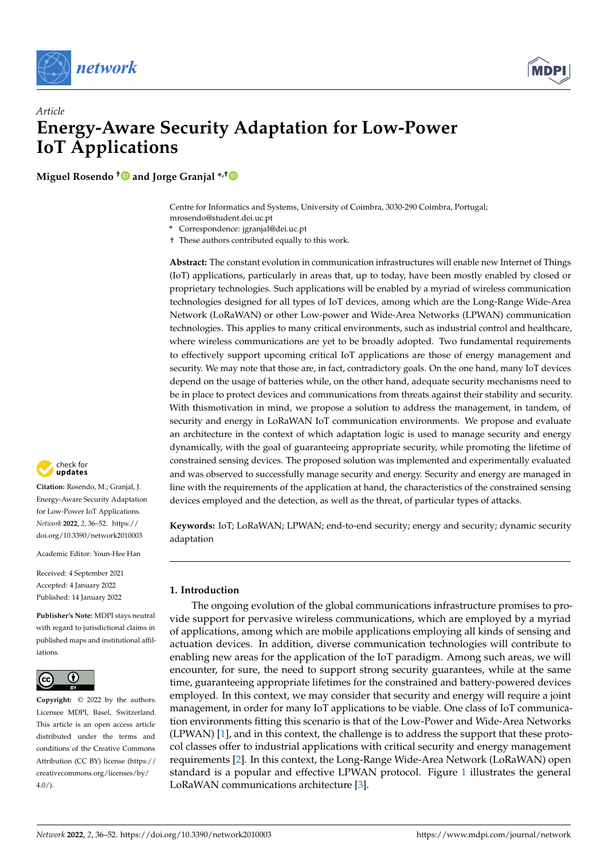



# *Article* **Energy-Aware Security Adaptation for Low-Power IoT Applications**

**Miguel Rosendo [†](https://orcid.org/0000-0001-8290-6444) and Jorge Granjal \*,[†](https://orcid.org/0000-0001-6714-1164)**

Centre for Informatics and Systems, University of Coimbra, 3030-290 Coimbra, Portugal; mrosendo@student.dei.uc.pt

- **\*** Correspondence: jgranjal@dei.uc.pt
- † These authors contributed equally to this work.

**Abstract:** The constant evolution in communication infrastructures will enable new Internet of Things (IoT) applications, particularly in areas that, up to today, have been mostly enabled by closed or proprietary technologies. Such applications will be enabled by a myriad of wireless communication technologies designed for all types of IoT devices, among which are the Long-Range Wide-Area Network (LoRaWAN) or other Low-power and Wide-Area Networks (LPWAN) communication technologies. This applies to many critical environments, such as industrial control and healthcare, where wireless communications are yet to be broadly adopted. Two fundamental requirements to effectively support upcoming critical IoT applications are those of energy management and security. We may note that those are, in fact, contradictory goals. On the one hand, many IoT devices depend on the usage of batteries while, on the other hand, adequate security mechanisms need to be in place to protect devices and communications from threats against their stability and security. With thismotivation in mind, we propose a solution to address the management, in tandem, of security and energy in LoRaWAN IoT communication environments. We propose and evaluate an architecture in the context of which adaptation logic is used to manage security and energy dynamically, with the goal of guaranteeing appropriate security, while promoting the lifetime of constrained sensing devices. The proposed solution was implemented and experimentally evaluated and was observed to successfully manage security and energy. Security and energy are managed in line with the requirements of the application at hand, the characteristics of the constrained sensing devices employed and the detection, as well as the threat, of particular types of attacks.

**Keywords:** IoT; LoRaWAN; LPWAN; end-to-end security; energy and security; dynamic security adaptation

## <span id="page-0-0"></span>**1. Introduction**

The ongoing evolution of the global communications infrastructure promises to provide support for pervasive wireless communications, which are employed by a myriad of applications, among which are mobile applications employing all kinds of sensing and actuation devices. In addition, diverse communication technologies will contribute to enabling new areas for the application of the IoT paradigm. Among such areas, we will encounter, for sure, the need to support strong security guarantees, while at the same time, guaranteeing appropriate lifetimes for the constrained and battery-powered devices employed. In this context, we may consider that security and energy will require a joint management, in order for many IoT applications to be viable. One class of IoT communication environments fitting this scenario is that of the Low-Power and Wide-Area Networks (LPWAN) [\[1\]](#page-15-0), and in this context, the challenge is to address the support that these protocol classes offer to industrial applications with critical security and energy management requirements [\[2\]](#page-15-1). In this context, the Long-Range Wide-Area Network (LoRaWAN) open standard is a popular and effective LPWAN protocol. Figure [1](#page-1-0) illustrates the general LoRaWAN communications architecture [\[3\]](#page-15-2).



**Citation:** Rosendo, M.; Granjal, J. Energy-Aware Security Adaptation for Low-Power IoT Applications. *Network* **2022**, *2*, 36–52. [https://](https://doi.org/10.3390/network2010003) [doi.org/10.3390/network2010003](https://doi.org/10.3390/network2010003)

Academic Editor: Youn-Hee Han

Received: 4 September 2021 Accepted: 4 January 2022 Published: 14 January 2022

**Publisher's Note:** MDPI stays neutral with regard to jurisdictional claims in published maps and institutional affiliations.



**Copyright:** © 2022 by the authors. Licensee MDPI, Basel, Switzerland. This article is an open access article distributed under the terms and conditions of the Creative Commons Attribution (CC BY) license [\(https://](https://creativecommons.org/licenses/by/4.0/) [creativecommons.org/licenses/by/](https://creativecommons.org/licenses/by/4.0/)  $4.0/$ ).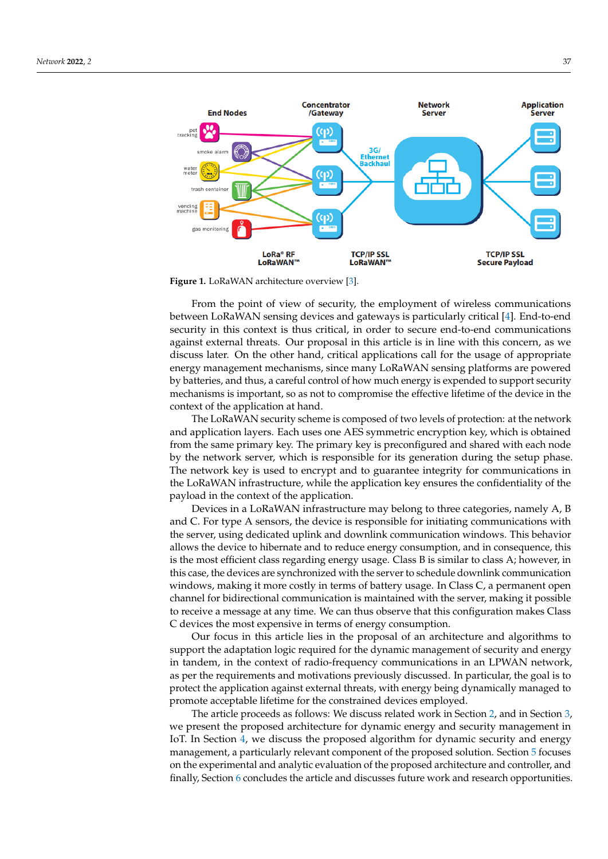<span id="page-1-0"></span>

**Figure 1.** LoRaWAN architecture overview [\[3\]](#page-15-2).

From the point of view of security, the employment of wireless communications between LoRaWAN sensing devices and gateways is particularly critical [\[4\]](#page-15-3). End-to-end security in this context is thus critical, in order to secure end-to-end communications against external threats. Our proposal in this article is in line with this concern, as we discuss later. On the other hand, critical applications call for the usage of appropriate energy management mechanisms, since many LoRaWAN sensing platforms are powered by batteries, and thus, a careful control of how much energy is expended to support security mechanisms is important, so as not to compromise the effective lifetime of the device in the context of the application at hand.

The LoRaWAN security scheme is composed of two levels of protection: at the network and application layers. Each uses one AES symmetric encryption key, which is obtained from the same primary key. The primary key is preconfigured and shared with each node by the network server, which is responsible for its generation during the setup phase. The network key is used to encrypt and to guarantee integrity for communications in the LoRaWAN infrastructure, while the application key ensures the confidentiality of the payload in the context of the application.

Devices in a LoRaWAN infrastructure may belong to three categories, namely A, B and C. For type A sensors, the device is responsible for initiating communications with the server, using dedicated uplink and downlink communication windows. This behavior allows the device to hibernate and to reduce energy consumption, and in consequence, this is the most efficient class regarding energy usage. Class B is similar to class A; however, in this case, the devices are synchronized with the server to schedule downlink communication windows, making it more costly in terms of battery usage. In Class C, a permanent open channel for bidirectional communication is maintained with the server, making it possible to receive a message at any time. We can thus observe that this configuration makes Class C devices the most expensive in terms of energy consumption.

Our focus in this article lies in the proposal of an architecture and algorithms to support the adaptation logic required for the dynamic management of security and energy in tandem, in the context of radio-frequency communications in an LPWAN network, as per the requirements and motivations previously discussed. In particular, the goal is to protect the application against external threats, with energy being dynamically managed to promote acceptable lifetime for the constrained devices employed.

The article proceeds as follows: We discuss related work in Section [2,](#page-2-0) and in Section [3,](#page-3-0) we present the proposed architecture for dynamic energy and security management in IoT. In Section [4,](#page-6-0) we discuss the proposed algorithm for dynamic security and energy management, a particularly relevant component of the proposed solution. Section [5](#page-8-0) focuses on the experimental and analytic evaluation of the proposed architecture and controller, and finally, Section [6](#page-14-0) concludes the article and discusses future work and research opportunities.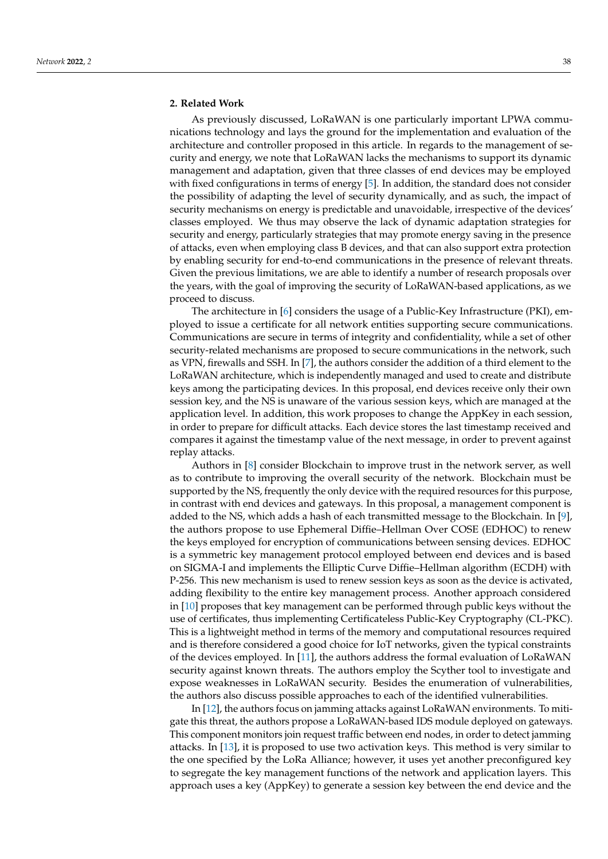<span id="page-2-0"></span>As previously discussed, LoRaWAN is one particularly important LPWA communications technology and lays the ground for the implementation and evaluation of the architecture and controller proposed in this article. In regards to the management of security and energy, we note that LoRaWAN lacks the mechanisms to support its dynamic management and adaptation, given that three classes of end devices may be employed with fixed configurations in terms of energy [\[5\]](#page-15-4). In addition, the standard does not consider the possibility of adapting the level of security dynamically, and as such, the impact of security mechanisms on energy is predictable and unavoidable, irrespective of the devices' classes employed. We thus may observe the lack of dynamic adaptation strategies for security and energy, particularly strategies that may promote energy saving in the presence of attacks, even when employing class B devices, and that can also support extra protection by enabling security for end-to-end communications in the presence of relevant threats. Given the previous limitations, we are able to identify a number of research proposals over the years, with the goal of improving the security of LoRaWAN-based applications, as we proceed to discuss.

The architecture in [\[6\]](#page-15-5) considers the usage of a Public-Key Infrastructure (PKI), employed to issue a certificate for all network entities supporting secure communications. Communications are secure in terms of integrity and confidentiality, while a set of other security-related mechanisms are proposed to secure communications in the network, such as VPN, firewalls and SSH. In [\[7\]](#page-15-6), the authors consider the addition of a third element to the LoRaWAN architecture, which is independently managed and used to create and distribute keys among the participating devices. In this proposal, end devices receive only their own session key, and the NS is unaware of the various session keys, which are managed at the application level. In addition, this work proposes to change the AppKey in each session, in order to prepare for difficult attacks. Each device stores the last timestamp received and compares it against the timestamp value of the next message, in order to prevent against replay attacks.

Authors in [\[8\]](#page-15-7) consider Blockchain to improve trust in the network server, as well as to contribute to improving the overall security of the network. Blockchain must be supported by the NS, frequently the only device with the required resources for this purpose, in contrast with end devices and gateways. In this proposal, a management component is added to the NS, which adds a hash of each transmitted message to the Blockchain. In [\[9\]](#page-15-8), the authors propose to use Ephemeral Diffie–Hellman Over COSE (EDHOC) to renew the keys employed for encryption of communications between sensing devices. EDHOC is a symmetric key management protocol employed between end devices and is based on SIGMA-I and implements the Elliptic Curve Diffie–Hellman algorithm (ECDH) with P-256. This new mechanism is used to renew session keys as soon as the device is activated, adding flexibility to the entire key management process. Another approach considered in [\[10\]](#page-16-0) proposes that key management can be performed through public keys without the use of certificates, thus implementing Certificateless Public-Key Cryptography (CL-PKC). This is a lightweight method in terms of the memory and computational resources required and is therefore considered a good choice for IoT networks, given the typical constraints of the devices employed. In [\[11\]](#page-16-1), the authors address the formal evaluation of LoRaWAN security against known threats. The authors employ the Scyther tool to investigate and expose weaknesses in LoRaWAN security. Besides the enumeration of vulnerabilities, the authors also discuss possible approaches to each of the identified vulnerabilities.

In [\[12\]](#page-16-2), the authors focus on jamming attacks against LoRaWAN environments. To mitigate this threat, the authors propose a LoRaWAN-based IDS module deployed on gateways. This component monitors join request traffic between end nodes, in order to detect jamming attacks. In [\[13\]](#page-16-3), it is proposed to use two activation keys. This method is very similar to the one specified by the LoRa Alliance; however, it uses yet another preconfigured key to segregate the key management functions of the network and application layers. This approach uses a key (AppKey) to generate a session key between the end device and the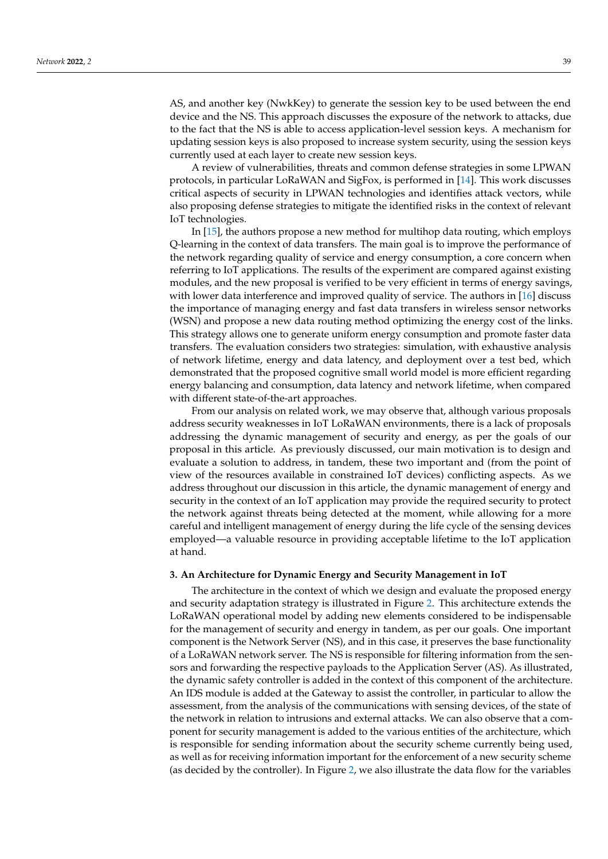AS, and another key (NwkKey) to generate the session key to be used between the end device and the NS. This approach discusses the exposure of the network to attacks, due to the fact that the NS is able to access application-level session keys. A mechanism for updating session keys is also proposed to increase system security, using the session keys currently used at each layer to create new session keys.

A review of vulnerabilities, threats and common defense strategies in some LPWAN protocols, in particular LoRaWAN and SigFox, is performed in [\[14\]](#page-16-4). This work discusses critical aspects of security in LPWAN technologies and identifies attack vectors, while also proposing defense strategies to mitigate the identified risks in the context of relevant IoT technologies.

In [\[15\]](#page-16-5), the authors propose a new method for multihop data routing, which employs Q-learning in the context of data transfers. The main goal is to improve the performance of the network regarding quality of service and energy consumption, a core concern when referring to IoT applications. The results of the experiment are compared against existing modules, and the new proposal is verified to be very efficient in terms of energy savings, with lower data interference and improved quality of service. The authors in [\[16\]](#page-16-6) discuss the importance of managing energy and fast data transfers in wireless sensor networks (WSN) and propose a new data routing method optimizing the energy cost of the links. This strategy allows one to generate uniform energy consumption and promote faster data transfers. The evaluation considers two strategies: simulation, with exhaustive analysis of network lifetime, energy and data latency, and deployment over a test bed, which demonstrated that the proposed cognitive small world model is more efficient regarding energy balancing and consumption, data latency and network lifetime, when compared with different state-of-the-art approaches.

From our analysis on related work, we may observe that, although various proposals address security weaknesses in IoT LoRaWAN environments, there is a lack of proposals addressing the dynamic management of security and energy, as per the goals of our proposal in this article. As previously discussed, our main motivation is to design and evaluate a solution to address, in tandem, these two important and (from the point of view of the resources available in constrained IoT devices) conflicting aspects. As we address throughout our discussion in this article, the dynamic management of energy and security in the context of an IoT application may provide the required security to protect the network against threats being detected at the moment, while allowing for a more careful and intelligent management of energy during the life cycle of the sensing devices employed—a valuable resource in providing acceptable lifetime to the IoT application at hand.

## <span id="page-3-0"></span>**3. An Architecture for Dynamic Energy and Security Management in IoT**

The architecture in the context of which we design and evaluate the proposed energy and security adaptation strategy is illustrated in Figure [2.](#page-4-0) This architecture extends the LoRaWAN operational model by adding new elements considered to be indispensable for the management of security and energy in tandem, as per our goals. One important component is the Network Server (NS), and in this case, it preserves the base functionality of a LoRaWAN network server. The NS is responsible for filtering information from the sensors and forwarding the respective payloads to the Application Server (AS). As illustrated, the dynamic safety controller is added in the context of this component of the architecture. An IDS module is added at the Gateway to assist the controller, in particular to allow the assessment, from the analysis of the communications with sensing devices, of the state of the network in relation to intrusions and external attacks. We can also observe that a component for security management is added to the various entities of the architecture, which is responsible for sending information about the security scheme currently being used, as well as for receiving information important for the enforcement of a new security scheme (as decided by the controller). In Figure [2,](#page-4-0) we also illustrate the data flow for the variables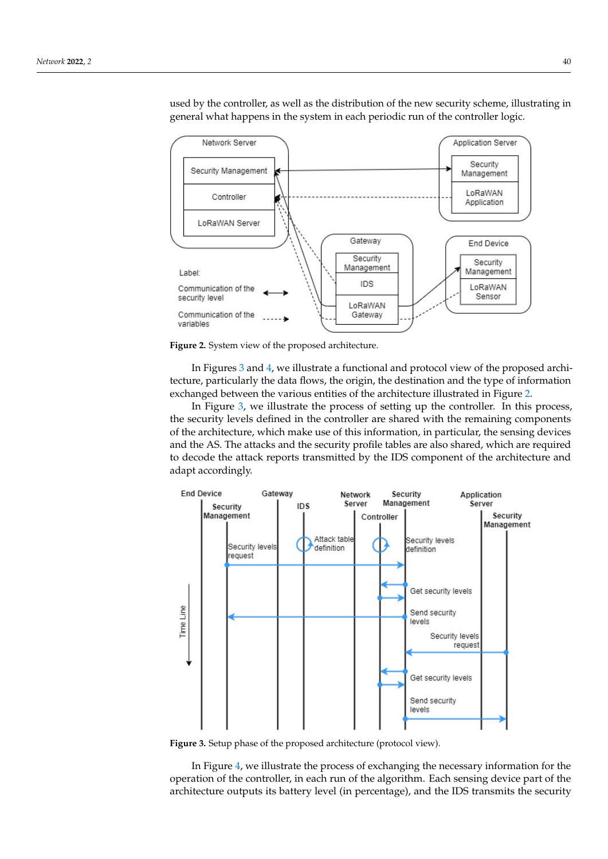<span id="page-4-0"></span>

used by the controller, as well as the distribution of the new security scheme, illustrating in general what happens in the system in each periodic run of the controller logic.

**Figure 2.** System view of the proposed architecture.

In Figures [3](#page-4-1) and [4,](#page-5-0) we illustrate a functional and protocol view of the proposed architecture, particularly the data flows, the origin, the destination and the type of information exchanged between the various entities of the architecture illustrated in Figure [2.](#page-4-0)

In Figure [3,](#page-4-1) we illustrate the process of setting up the controller. In this process, the security levels defined in the controller are shared with the remaining components of the architecture, which make use of this information, in particular, the sensing devices and the AS. The attacks and the security profile tables are also shared, which are required to decode the attack reports transmitted by the IDS component of the architecture and adapt accordingly.

<span id="page-4-1"></span>

**Figure 3.** Setup phase of the proposed architecture (protocol view).

In Figure [4,](#page-5-0) we illustrate the process of exchanging the necessary information for the operation of the controller, in each run of the algorithm. Each sensing device part of the architecture outputs its battery level (in percentage), and the IDS transmits the security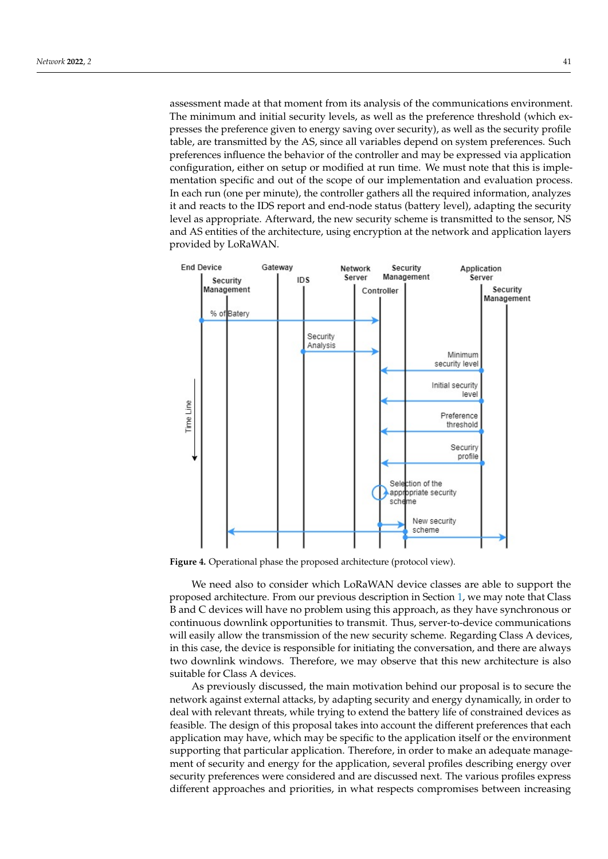assessment made at that moment from its analysis of the communications environment. The minimum and initial security levels, as well as the preference threshold (which expresses the preference given to energy saving over security), as well as the security profile table, are transmitted by the AS, since all variables depend on system preferences. Such preferences influence the behavior of the controller and may be expressed via application configuration, either on setup or modified at run time. We must note that this is implementation specific and out of the scope of our implementation and evaluation process. In each run (one per minute), the controller gathers all the required information, analyzes it and reacts to the IDS report and end-node status (battery level), adapting the security level as appropriate. Afterward, the new security scheme is transmitted to the sensor, NS and AS entities of the architecture, using encryption at the network and application layers provided by LoRaWAN.

<span id="page-5-0"></span>

**Figure 4.** Operational phase the proposed architecture (protocol view).

We need also to consider which LoRaWAN device classes are able to support the proposed architecture. From our previous description in Section [1,](#page-0-0) we may note that Class B and C devices will have no problem using this approach, as they have synchronous or continuous downlink opportunities to transmit. Thus, server-to-device communications will easily allow the transmission of the new security scheme. Regarding Class A devices, in this case, the device is responsible for initiating the conversation, and there are always two downlink windows. Therefore, we may observe that this new architecture is also suitable for Class A devices.

As previously discussed, the main motivation behind our proposal is to secure the network against external attacks, by adapting security and energy dynamically, in order to deal with relevant threats, while trying to extend the battery life of constrained devices as feasible. The design of this proposal takes into account the different preferences that each application may have, which may be specific to the application itself or the environment supporting that particular application. Therefore, in order to make an adequate management of security and energy for the application, several profiles describing energy over security preferences were considered and are discussed next. The various profiles express different approaches and priorities, in what respects compromises between increasing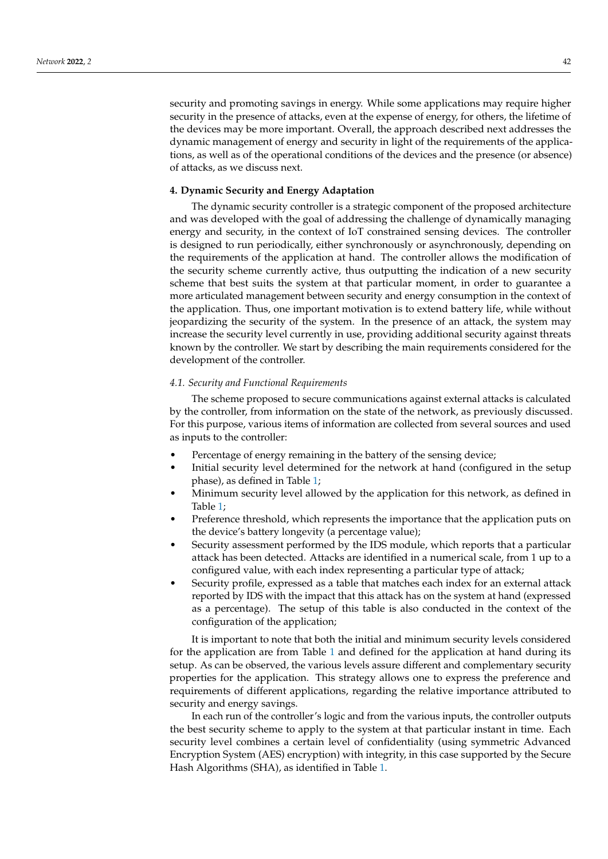security and promoting savings in energy. While some applications may require higher security in the presence of attacks, even at the expense of energy, for others, the lifetime of the devices may be more important. Overall, the approach described next addresses the dynamic management of energy and security in light of the requirements of the applications, as well as of the operational conditions of the devices and the presence (or absence) of attacks, as we discuss next.

#### <span id="page-6-0"></span>**4. Dynamic Security and Energy Adaptation**

The dynamic security controller is a strategic component of the proposed architecture and was developed with the goal of addressing the challenge of dynamically managing energy and security, in the context of IoT constrained sensing devices. The controller is designed to run periodically, either synchronously or asynchronously, depending on the requirements of the application at hand. The controller allows the modification of the security scheme currently active, thus outputting the indication of a new security scheme that best suits the system at that particular moment, in order to guarantee a more articulated management between security and energy consumption in the context of the application. Thus, one important motivation is to extend battery life, while without jeopardizing the security of the system. In the presence of an attack, the system may increase the security level currently in use, providing additional security against threats known by the controller. We start by describing the main requirements considered for the development of the controller.

#### *4.1. Security and Functional Requirements*

The scheme proposed to secure communications against external attacks is calculated by the controller, from information on the state of the network, as previously discussed. For this purpose, various items of information are collected from several sources and used as inputs to the controller:

- Percentage of energy remaining in the battery of the sensing device;
- Initial security level determined for the network at hand (configured in the setup phase), as defined in Table [1;](#page-7-0)
- Minimum security level allowed by the application for this network, as defined in Table [1;](#page-7-0)
- Preference threshold, which represents the importance that the application puts on the device's battery longevity (a percentage value);
- Security assessment performed by the IDS module, which reports that a particular attack has been detected. Attacks are identified in a numerical scale, from 1 up to a configured value, with each index representing a particular type of attack;
- Security profile, expressed as a table that matches each index for an external attack reported by IDS with the impact that this attack has on the system at hand (expressed as a percentage). The setup of this table is also conducted in the context of the configuration of the application;

It is important to note that both the initial and minimum security levels considered for the application are from Table [1](#page-7-0) and defined for the application at hand during its setup. As can be observed, the various levels assure different and complementary security properties for the application. This strategy allows one to express the preference and requirements of different applications, regarding the relative importance attributed to security and energy savings.

In each run of the controller's logic and from the various inputs, the controller outputs the best security scheme to apply to the system at that particular instant in time. Each security level combines a certain level of confidentiality (using symmetric Advanced Encryption System (AES) encryption) with integrity, in this case supported by the Secure Hash Algorithms (SHA), as identified in Table [1.](#page-7-0)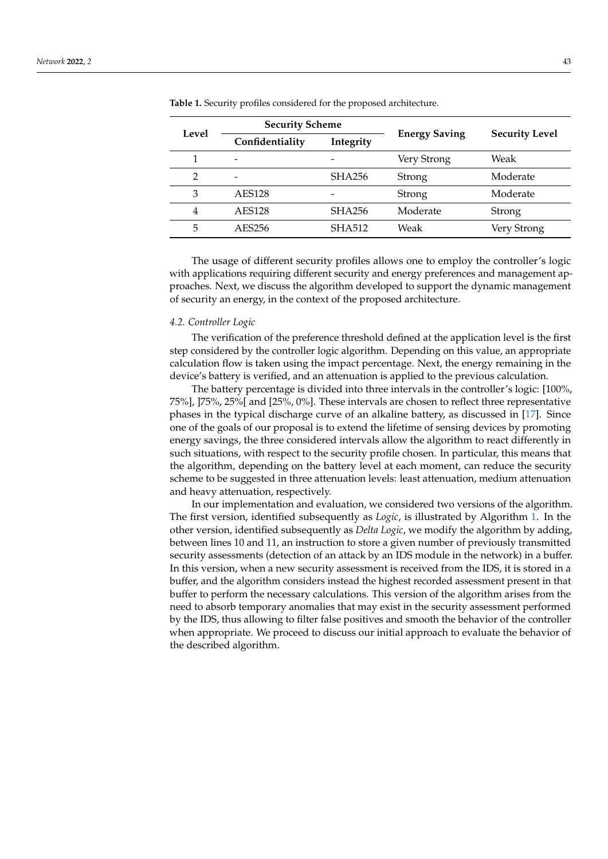| Level          | <b>Security Scheme</b>       |                          |                      |                       |  |
|----------------|------------------------------|--------------------------|----------------------|-----------------------|--|
|                | Confidentiality<br>Integrity |                          | <b>Energy Saving</b> | <b>Security Level</b> |  |
|                | $\overline{\phantom{0}}$     |                          | Very Strong          | Weak                  |  |
| $\overline{2}$ | $\overline{a}$               | <b>SHA256</b>            | Strong               | Moderate              |  |
| 3              | <b>AES128</b>                | $\overline{\phantom{0}}$ | Strong               | Moderate              |  |
| 4              | <b>AES128</b>                | <b>SHA256</b>            | Moderate             | <b>Strong</b>         |  |
| 5              | AES256                       | <b>SHA512</b>            | Weak                 | Very Strong           |  |

<span id="page-7-0"></span>**Table 1.** Security profiles considered for the proposed architecture.

The usage of different security profiles allows one to employ the controller's logic with applications requiring different security and energy preferences and management approaches. Next, we discuss the algorithm developed to support the dynamic management of security an energy, in the context of the proposed architecture.

#### <span id="page-7-1"></span>*4.2. Controller Logic*

The verification of the preference threshold defined at the application level is the first step considered by the controller logic algorithm. Depending on this value, an appropriate calculation flow is taken using the impact percentage. Next, the energy remaining in the device's battery is verified, and an attenuation is applied to the previous calculation.

The battery percentage is divided into three intervals in the controller's logic: [100%, 75%], ]75%, 25%[ and [25%, 0%]. These intervals are chosen to reflect three representative phases in the typical discharge curve of an alkaline battery, as discussed in [\[17\]](#page-16-7). Since one of the goals of our proposal is to extend the lifetime of sensing devices by promoting energy savings, the three considered intervals allow the algorithm to react differently in such situations, with respect to the security profile chosen. In particular, this means that the algorithm, depending on the battery level at each moment, can reduce the security scheme to be suggested in three attenuation levels: least attenuation, medium attenuation and heavy attenuation, respectively.

In our implementation and evaluation, we considered two versions of the algorithm. The first version, identified subsequently as *Logic*, is illustrated by Algorithm [1.](#page-8-1) In the other version, identified subsequently as *Delta Logic*, we modify the algorithm by adding, between lines 10 and 11, an instruction to store a given number of previously transmitted security assessments (detection of an attack by an IDS module in the network) in a buffer. In this version, when a new security assessment is received from the IDS, it is stored in a buffer, and the algorithm considers instead the highest recorded assessment present in that buffer to perform the necessary calculations. This version of the algorithm arises from the need to absorb temporary anomalies that may exist in the security assessment performed by the IDS, thus allowing to filter false positives and smooth the behavior of the controller when appropriate. We proceed to discuss our initial approach to evaluate the behavior of the described algorithm.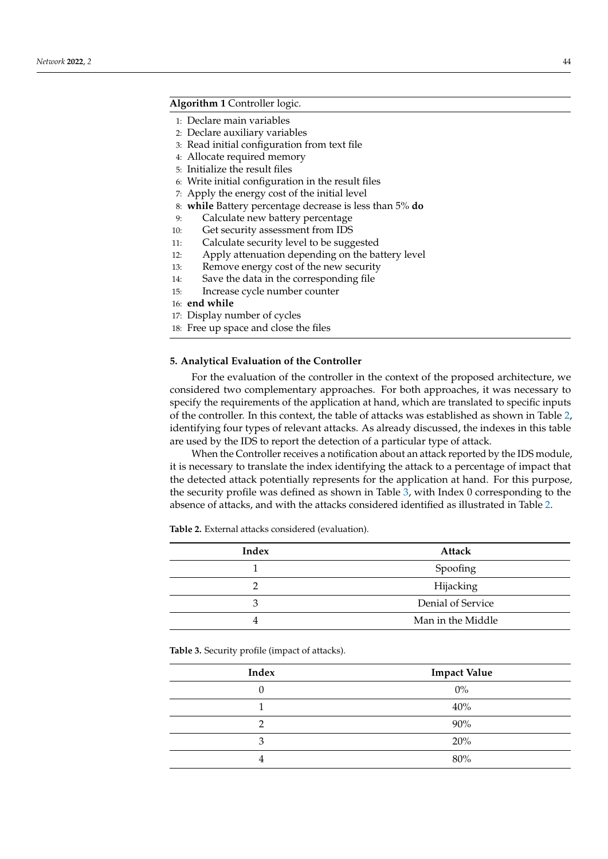# <span id="page-8-1"></span>**Algorithm 1** Controller logic.

- 1: Declare main variables
- 2: Declare auxiliary variables
- 3: Read initial configuration from text file
- 4: Allocate required memory
- 5: Initialize the result files
- 6: Write initial configuration in the result files
- 7: Apply the energy cost of the initial level
- 8: **while** Battery percentage decrease is less than 5% **do**
- 9: Calculate new battery percentage
- 10: Get security assessment from IDS
- 11: Calculate security level to be suggested
- 12: Apply attenuation depending on the battery level
- 13: Remove energy cost of the new security
- 14: Save the data in the corresponding file
- 15: Increase cycle number counter
- 16: **end while**
- 17: Display number of cycles
- 18: Free up space and close the files

### <span id="page-8-0"></span>**5. Analytical Evaluation of the Controller**

For the evaluation of the controller in the context of the proposed architecture, we considered two complementary approaches. For both approaches, it was necessary to specify the requirements of the application at hand, which are translated to specific inputs of the controller. In this context, the table of attacks was established as shown in Table [2,](#page-8-2) identifying four types of relevant attacks. As already discussed, the indexes in this table are used by the IDS to report the detection of a particular type of attack.

When the Controller receives a notification about an attack reported by the IDS module, it is necessary to translate the index identifying the attack to a percentage of impact that the detected attack potentially represents for the application at hand. For this purpose, the security profile was defined as shown in Table [3,](#page-8-3) with Index 0 corresponding to the absence of attacks, and with the attacks considered identified as illustrated in Table [2.](#page-8-2)

<span id="page-8-2"></span>**Table 2.** External attacks considered (evaluation).

| Index | Attack            |
|-------|-------------------|
|       | Spoofing          |
|       | Hijacking         |
| 3     | Denial of Service |
|       | Man in the Middle |

<span id="page-8-3"></span>**Table 3.** Security profile (impact of attacks).

| Index | <b>Impact Value</b> |
|-------|---------------------|
|       | $0\%$               |
|       | 40%                 |
| റ     | 90%                 |
| 3     | 20%                 |
|       | 80%                 |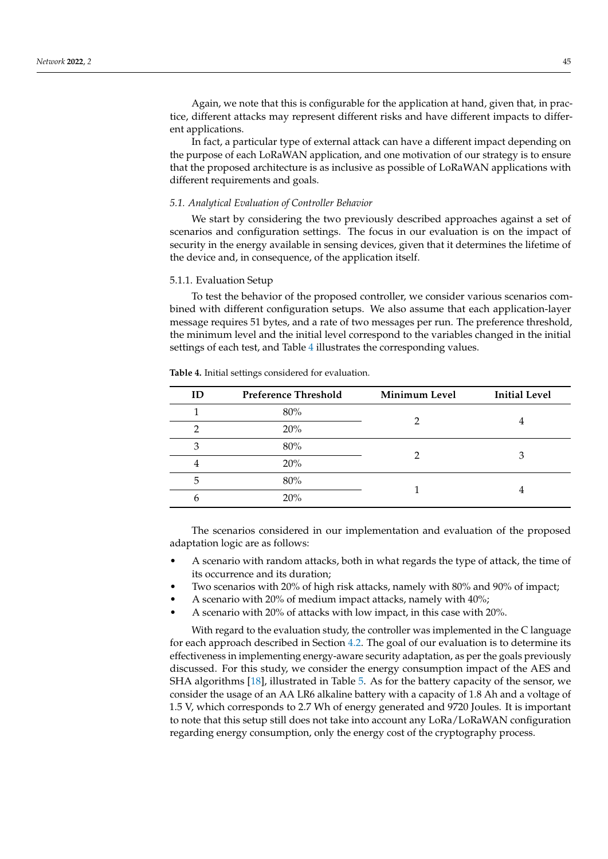Again, we note that this is configurable for the application at hand, given that, in practice, different attacks may represent different risks and have different impacts to different applications.

In fact, a particular type of external attack can have a different impact depending on the purpose of each LoRaWAN application, and one motivation of our strategy is to ensure that the proposed architecture is as inclusive as possible of LoRaWAN applications with different requirements and goals.

#### *5.1. Analytical Evaluation of Controller Behavior*

We start by considering the two previously described approaches against a set of scenarios and configuration settings. The focus in our evaluation is on the impact of security in the energy available in sensing devices, given that it determines the lifetime of the device and, in consequence, of the application itself.

#### 5.1.1. Evaluation Setup

To test the behavior of the proposed controller, we consider various scenarios combined with different configuration setups. We also assume that each application-layer message requires 51 bytes, and a rate of two messages per run. The preference threshold, the minimum level and the initial level correspond to the variables changed in the initial settings of each test, and Table [4](#page-9-0) illustrates the corresponding values.

| ID | <b>Preference Threshold</b> | <b>Minimum Level</b> | <b>Initial Level</b> |
|----|-----------------------------|----------------------|----------------------|
|    | 80%                         |                      |                      |
| റ  | 20%                         |                      |                      |
| 3  | 80%                         |                      |                      |
| 4  | 20%                         |                      | З                    |
| 5  | 80%                         |                      |                      |
| 6  | 20%                         |                      |                      |
|    |                             |                      |                      |

<span id="page-9-0"></span>**Table 4.** Initial settings considered for evaluation.

The scenarios considered in our implementation and evaluation of the proposed adaptation logic are as follows:

- A scenario with random attacks, both in what regards the type of attack, the time of its occurrence and its duration;
- Two scenarios with 20% of high risk attacks, namely with 80% and 90% of impact;
- A scenario with 20% of medium impact attacks, namely with 40%;
- A scenario with 20% of attacks with low impact, in this case with 20%.

With regard to the evaluation study, the controller was implemented in the C language for each approach described in Section [4.2.](#page-7-1) The goal of our evaluation is to determine its effectiveness in implementing energy-aware security adaptation, as per the goals previously discussed. For this study, we consider the energy consumption impact of the AES and SHA algorithms [\[18\]](#page-16-8), illustrated in Table [5.](#page-10-0) As for the battery capacity of the sensor, we consider the usage of an AA LR6 alkaline battery with a capacity of 1.8 Ah and a voltage of 1.5 V, which corresponds to 2.7 Wh of energy generated and 9720 Joules. It is important to note that this setup still does not take into account any LoRa/LoRaWAN configuration regarding energy consumption, only the energy cost of the cryptography process.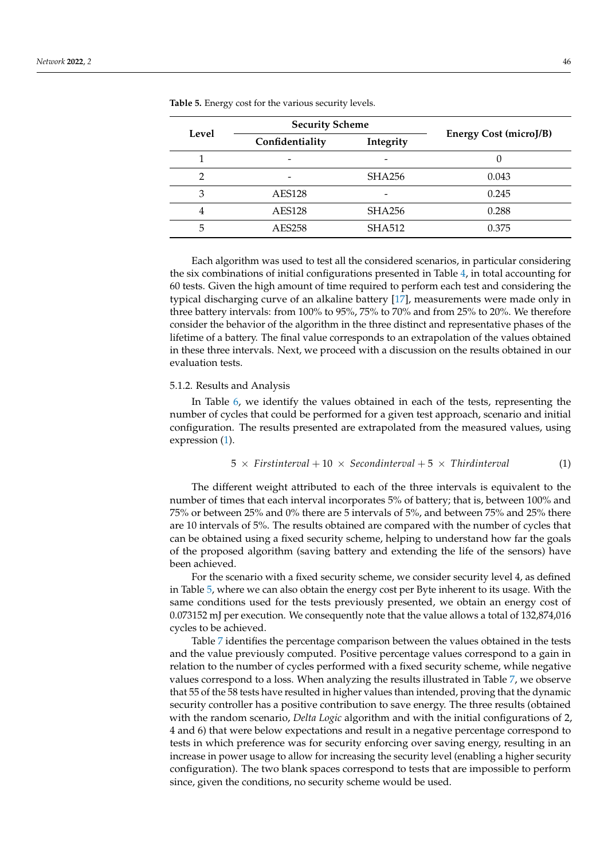|       | <b>Security Scheme</b> |                          |                        |  |  |
|-------|------------------------|--------------------------|------------------------|--|--|
| Level | Confidentiality        | Integrity                | Energy Cost (microJ/B) |  |  |
|       | -                      | $\overline{\phantom{0}}$ |                        |  |  |
|       |                        | <b>SHA256</b>            | 0.043                  |  |  |
| 3     | <b>AES128</b>          | $\overline{\phantom{a}}$ | 0.245                  |  |  |
| 4     | <b>AES128</b>          | <b>SHA256</b>            | 0.288                  |  |  |
| 5     | AES258                 | <b>SHA512</b>            | 0.375                  |  |  |

<span id="page-10-0"></span>**Table 5.** Energy cost for the various security levels.

Each algorithm was used to test all the considered scenarios, in particular considering the six combinations of initial configurations presented in Table [4,](#page-9-0) in total accounting for 60 tests. Given the high amount of time required to perform each test and considering the typical discharging curve of an alkaline battery [\[17\]](#page-16-7), measurements were made only in three battery intervals: from 100% to 95%, 75% to 70% and from 25% to 20%. We therefore consider the behavior of the algorithm in the three distinct and representative phases of the lifetime of a battery. The final value corresponds to an extrapolation of the values obtained in these three intervals. Next, we proceed with a discussion on the results obtained in our evaluation tests.

#### 5.1.2. Results and Analysis

In Table [6,](#page-11-0) we identify the values obtained in each of the tests, representing the number of cycles that could be performed for a given test approach, scenario and initial configuration. The results presented are extrapolated from the measured values, using expression [\(1\)](#page-10-1).

<span id="page-10-1"></span>
$$
5 \times \text{First interval} + 10 \times \text{Second interval} + 5 \times \text{Third interval} \tag{1}
$$

The different weight attributed to each of the three intervals is equivalent to the number of times that each interval incorporates 5% of battery; that is, between 100% and 75% or between 25% and 0% there are 5 intervals of 5%, and between 75% and 25% there are 10 intervals of 5%. The results obtained are compared with the number of cycles that can be obtained using a fixed security scheme, helping to understand how far the goals of the proposed algorithm (saving battery and extending the life of the sensors) have been achieved.

For the scenario with a fixed security scheme, we consider security level 4, as defined in Table [5,](#page-10-0) where we can also obtain the energy cost per Byte inherent to its usage. With the same conditions used for the tests previously presented, we obtain an energy cost of 0.073152 mJ per execution. We consequently note that the value allows a total of 132,874,016 cycles to be achieved.

Table [7](#page-11-1) identifies the percentage comparison between the values obtained in the tests and the value previously computed. Positive percentage values correspond to a gain in relation to the number of cycles performed with a fixed security scheme, while negative values correspond to a loss. When analyzing the results illustrated in Table [7,](#page-11-1) we observe that 55 of the 58 tests have resulted in higher values than intended, proving that the dynamic security controller has a positive contribution to save energy. The three results (obtained with the random scenario, *Delta Logic* algorithm and with the initial configurations of 2, 4 and 6) that were below expectations and result in a negative percentage correspond to tests in which preference was for security enforcing over saving energy, resulting in an increase in power usage to allow for increasing the security level (enabling a higher security configuration). The two blank spaces correspond to tests that are impossible to perform since, given the conditions, no security scheme would be used.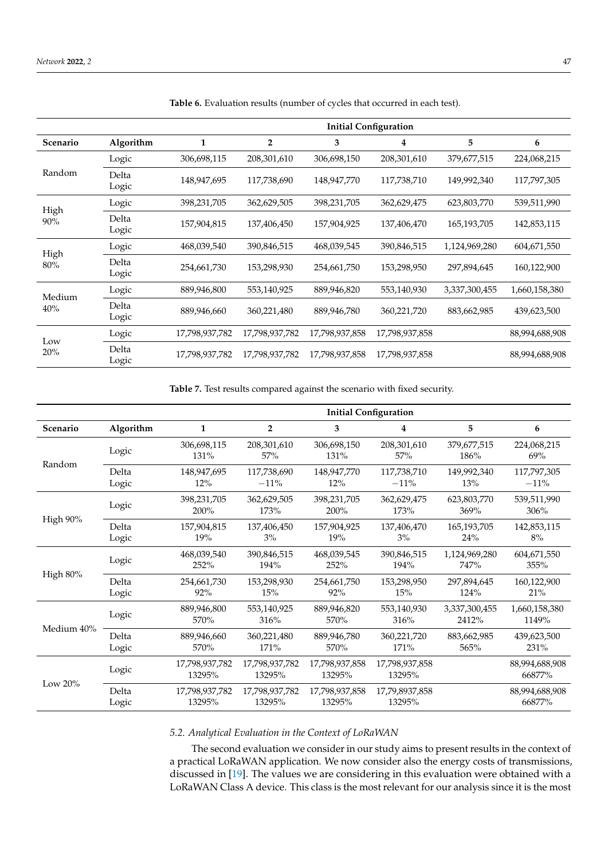|               |                | <b>Initial Configuration</b> |                |                |                |               |                |  |
|---------------|----------------|------------------------------|----------------|----------------|----------------|---------------|----------------|--|
| Scenario      | Algorithm      | 1                            | $\overline{2}$ | 3              | 4              | 5             | 6              |  |
|               | Logic          | 306,698,115                  | 208,301,610    | 306,698,150    | 208,301,610    | 379,677,515   | 224,068,215    |  |
| Random        | Delta<br>Logic | 148,947,695                  | 117,738,690    | 148,947,770    | 117,738,710    | 149,992,340   | 117,797,305    |  |
|               | Logic          | 398,231,705                  | 362,629,505    | 398,231,705    | 362,629,475    | 623,803,770   | 539,511,990    |  |
| High<br>90%   | Delta<br>Logic | 157,904,815                  | 137,406,450    | 157,904,925    | 137,406,470    | 165,193,705   | 142,853,115    |  |
|               | Logic          | 468,039,540                  | 390,846,515    | 468,039,545    | 390,846,515    | 1,124,969,280 | 604,671,550    |  |
| High<br>80%   | Delta<br>Logic | 254,661,730                  | 153,298,930    | 254,661,750    | 153,298,950    | 297,894,645   | 160,122,900    |  |
| Medium<br>40% | Logic          | 889,946,800                  | 553,140,925    | 889,946,820    | 553,140,930    | 3,337,300,455 | 1,660,158,380  |  |
|               | Delta<br>Logic | 889,946,660                  | 360,221,480    | 889,946,780    | 360,221,720    | 883,662,985   | 439,623,500    |  |
| Low<br>20%    | Logic          | 17,798,937,782               | 17,798,937,782 | 17,798,937,858 | 17,798,937,858 |               | 88,994,688,908 |  |
|               | Delta<br>Logic | 17,798,937,782               | 17,798,937,782 | 17,798,937,858 | 17,798,937,858 |               | 88,994,688,908 |  |

<span id="page-11-0"></span>**Table 6.** Evaluation results (number of cycles that occurred in each test).

<span id="page-11-1"></span>**Table 7.** Test results compared against the scenario with fixed security.

|            |                | <b>Initial Configuration</b> |                          |                          |                          |                        |                          |  |
|------------|----------------|------------------------------|--------------------------|--------------------------|--------------------------|------------------------|--------------------------|--|
| Scenario   | Algorithm      | $\mathbf{1}$                 | $\overline{2}$           | 3                        | 4                        | 5                      | 6                        |  |
|            | Logic          | 306,698,115<br>131%          | 208,301,610<br>57%       | 306,698,150<br>131%      | 208,301,610<br>57%       | 379,677,515<br>186%    | 224,068,215<br>69%       |  |
| Random     | Delta<br>Logic | 148,947,695<br>12%           | 117,738,690<br>$-11%$    | 148,947,770<br>$12\%$    | 117,738,710<br>$-11%$    | 149,992,340<br>13%     | 117,797,305<br>$-11%$    |  |
|            | Logic          | 398,231,705<br>200%          | 362,629,505<br>173%      | 398,231,705<br>200%      | 362,629,475<br>173%      | 623,803,770<br>369%    | 539,511,990<br>306%      |  |
| High 90%   | Delta<br>Logic | 157,904,815<br>19%           | 137,406,450<br>$3\%$     | 157,904,925<br>19%       | 137,406,470<br>3%        | 165, 193, 705<br>24%   | 142,853,115<br>8%        |  |
| High 80%   | Logic          | 468,039,540<br>252%          | 390,846,515<br>194%      | 468,039,545<br>252%      | 390,846,515<br>194%      | 1,124,969,280<br>747%  | 604,671,550<br>355%      |  |
|            | Delta<br>Logic | 254,661,730<br>92%           | 153,298,930<br>15%       | 254,661,750<br>92%       | 153,298,950<br>15%       | 297,894,645<br>124%    | 160,122,900<br>21%       |  |
|            | Logic          | 889,946,800<br>570%          | 553,140,925<br>316%      | 889,946,820<br>570%      | 553,140,930<br>316%      | 3,337,300,455<br>2412% | 1,660,158,380<br>1149%   |  |
| Medium 40% | Delta<br>Logic | 889,946,660<br>570%          | 360,221,480<br>171%      | 889.946.780<br>570%      | 360,221,720<br>171%      | 883,662,985<br>565%    | 439,623,500<br>231%      |  |
| Low $20\%$ | Logic          | 17,798,937,782<br>13295%     | 17,798,937,782<br>13295% | 17,798,937,858<br>13295% | 17,798,937,858<br>13295% |                        | 88,994,688,908<br>66877% |  |
|            | Delta<br>Logic | 17,798,937,782<br>13295%     | 17,798,937,782<br>13295% | 17,798,937,858<br>13295% | 17,79,8937,858<br>13295% |                        | 88,994,688,908<br>66877% |  |

# *5.2. Analytical Evaluation in the Context of LoRaWAN*

The second evaluation we consider in our study aims to present results in the context of a practical LoRaWAN application. We now consider also the energy costs of transmissions, discussed in [\[19\]](#page-16-9). The values we are considering in this evaluation were obtained with a LoRaWAN Class A device. This class is the most relevant for our analysis since it is the most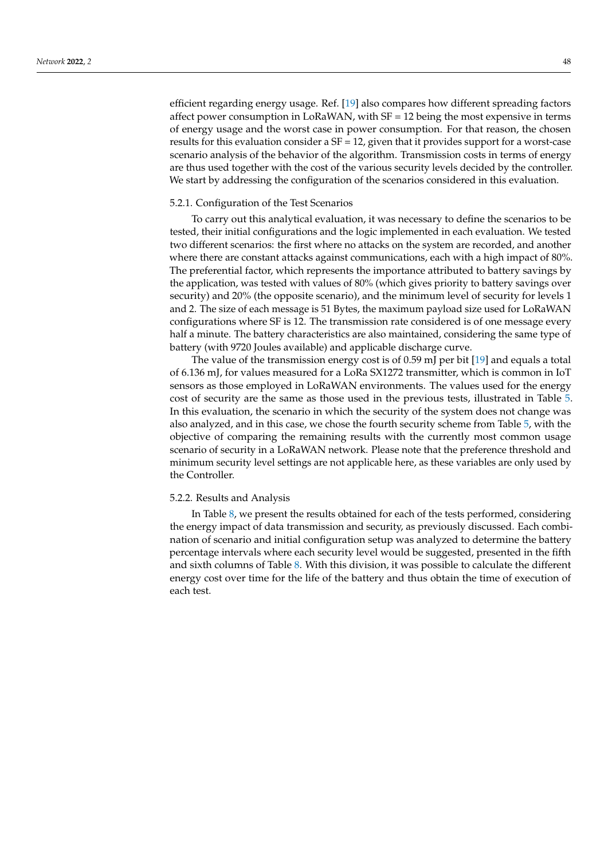efficient regarding energy usage. Ref. [\[19\]](#page-16-9) also compares how different spreading factors affect power consumption in LoRaWAN, with SF = 12 being the most expensive in terms of energy usage and the worst case in power consumption. For that reason, the chosen results for this evaluation consider a  $SF = 12$ , given that it provides support for a worst-case scenario analysis of the behavior of the algorithm. Transmission costs in terms of energy are thus used together with the cost of the various security levels decided by the controller. We start by addressing the configuration of the scenarios considered in this evaluation.

#### 5.2.1. Configuration of the Test Scenarios

To carry out this analytical evaluation, it was necessary to define the scenarios to be tested, their initial configurations and the logic implemented in each evaluation. We tested two different scenarios: the first where no attacks on the system are recorded, and another where there are constant attacks against communications, each with a high impact of 80%. The preferential factor, which represents the importance attributed to battery savings by the application, was tested with values of 80% (which gives priority to battery savings over security) and 20% (the opposite scenario), and the minimum level of security for levels 1 and 2. The size of each message is 51 Bytes, the maximum payload size used for LoRaWAN configurations where SF is 12. The transmission rate considered is of one message every half a minute. The battery characteristics are also maintained, considering the same type of battery (with 9720 Joules available) and applicable discharge curve.

The value of the transmission energy cost is of 0.59 mJ per bit [\[19\]](#page-16-9) and equals a total of 6.136 mJ, for values measured for a LoRa SX1272 transmitter, which is common in IoT sensors as those employed in LoRaWAN environments. The values used for the energy cost of security are the same as those used in the previous tests, illustrated in Table [5.](#page-10-0) In this evaluation, the scenario in which the security of the system does not change was also analyzed, and in this case, we chose the fourth security scheme from Table [5,](#page-10-0) with the objective of comparing the remaining results with the currently most common usage scenario of security in a LoRaWAN network. Please note that the preference threshold and minimum security level settings are not applicable here, as these variables are only used by the Controller.

### 5.2.2. Results and Analysis

In Table [8,](#page-13-0) we present the results obtained for each of the tests performed, considering the energy impact of data transmission and security, as previously discussed. Each combination of scenario and initial configuration setup was analyzed to determine the battery percentage intervals where each security level would be suggested, presented in the fifth and sixth columns of Table [8.](#page-13-0) With this division, it was possible to calculate the different energy cost over time for the life of the battery and thus obtain the time of execution of each test.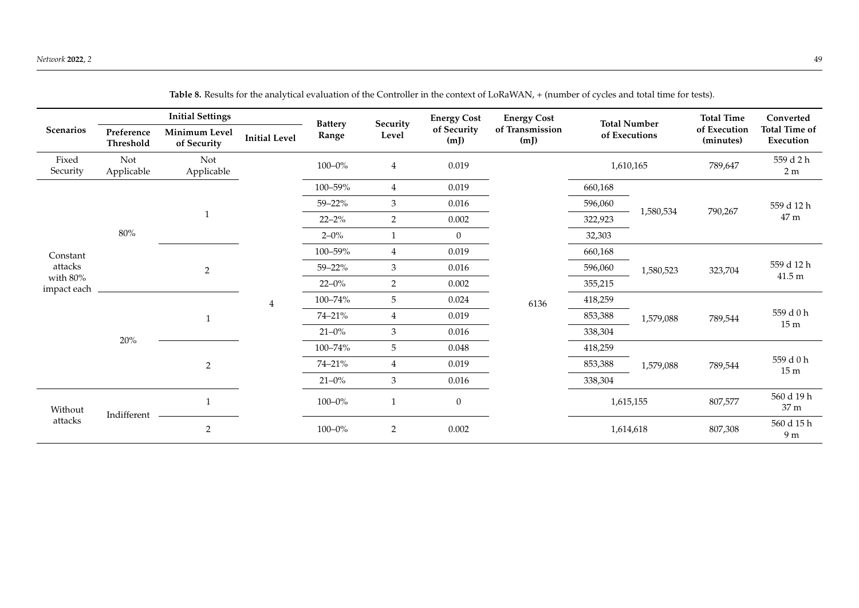<span id="page-13-0"></span>

|                         | <b>Initial Settings</b> |                              |                      | <b>Battery</b> |                   | <b>Energy Cost</b>  | <b>Energy Cost</b>      |           | <b>Total Number</b>  | <b>Total Time</b>         | Converted                         |         |                            |
|-------------------------|-------------------------|------------------------------|----------------------|----------------|-------------------|---------------------|-------------------------|-----------|----------------------|---------------------------|-----------------------------------|---------|----------------------------|
| <b>Scenarios</b>        | Preference<br>Threshold | Minimum Level<br>of Security | <b>Initial Level</b> | Range          | Security<br>Level | of Security<br>(mJ) | of Transmission<br>(mJ) |           | of Executions        | of Execution<br>(minutes) | <b>Total Time of</b><br>Execution |         |                            |
| Fixed<br>Security       | Not<br>Applicable       | Not<br>Applicable            |                      | $100 - 0\%$    | $\overline{4}$    | 0.019               |                         | 1,610,165 |                      | 789,647                   | 559 d 2 h<br>2 <sub>m</sub>       |         |                            |
|                         |                         |                              |                      | 100-59%        | $\overline{4}$    | 0.019               |                         | 660,168   |                      | 790,267                   | 559 d 12 h<br>47 m                |         |                            |
|                         |                         |                              |                      | 59-22%         | 3                 | 0.016               |                         | 596,060   |                      |                           |                                   |         |                            |
|                         |                         | $\mathbf{1}$                 |                      | $22 - 2\%$     | $\overline{2}$    | 0.002               |                         | 322,923   | 1,580,534            |                           |                                   |         |                            |
|                         | $80\%$                  |                              |                      | $2 - 0\%$      | $\mathbf{1}$      | $\overline{0}$      |                         | 32,303    |                      |                           |                                   |         |                            |
| Constant                |                         | $\overline{2}$               |                      | 100-59%        | $\overline{4}$    | 0.019               |                         | 660,168   |                      | 323,704                   | 559 d 12 h<br>$41.5\,\mathrm{m}$  |         |                            |
| attacks                 |                         |                              |                      | 59-22%         | 3                 | 0.016               |                         | 596,060   | 1,580,523            |                           |                                   |         |                            |
| with 80%<br>impact each |                         |                              |                      | $22 - 0\%$     | $\overline{2}$    | 0.002               |                         | 355,215   |                      |                           |                                   |         |                            |
|                         |                         | $20\%$<br>$\overline{2}$     | $\overline{4}$       | 100-74%        | 5                 | 0.024               | 6136                    | 418,259   | 1,579,088<br>789,544 |                           |                                   |         |                            |
|                         |                         |                              |                      | 74-21%         | $\overline{4}$    | 0.019               |                         | 853,388   |                      |                           | 559 d 0 h<br>15m                  |         |                            |
|                         |                         |                              |                      | $21 - 0\%$     | 3                 | 0.016               |                         | 338,304   |                      |                           |                                   |         |                            |
|                         |                         |                              |                      | 100-74%        | $\mathbf 5$       | 0.048               |                         | 418,259   |                      |                           |                                   |         |                            |
|                         |                         |                              |                      |                |                   | 74-21%              | $\overline{4}$          | 0.019     |                      | 853,388                   | 1,579,088                         | 789,544 | 559 d 0 h<br>$15\ {\rm m}$ |
|                         |                         |                              |                      | $21 - 0\%$     | 3                 | 0.016               |                         | 338,304   |                      |                           |                                   |         |                            |
| Without<br>attacks      | Indifferent             |                              |                      | $100 - 0\%$    | 1                 | $\boldsymbol{0}$    |                         |           | 1,615,155            | 807,577                   | 560 d 19 h<br>37 m                |         |                            |
|                         |                         | $\overline{2}$               |                      | $100 - 0\%$    | 2                 | 0.002               |                         |           | 1,614,618            | 807,308                   | 560 d 15 h<br>9 m                 |         |                            |

**Table 8.** Results for the analytical evaluation of the Controller in the context of LoRaWAN, + (number of cycles and total time for tests).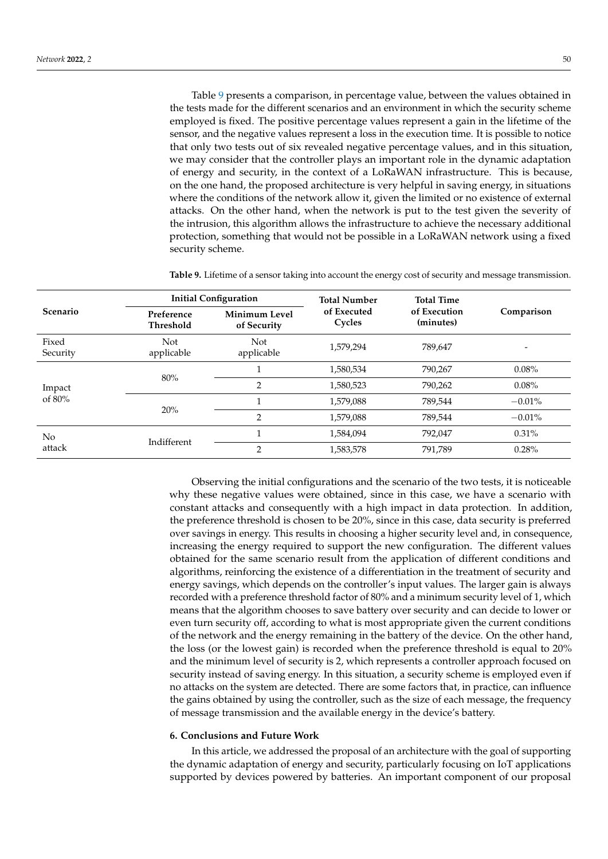Table [9](#page-14-1) presents a comparison, in percentage value, between the values obtained in the tests made for the different scenarios and an environment in which the security scheme employed is fixed. The positive percentage values represent a gain in the lifetime of the sensor, and the negative values represent a loss in the execution time. It is possible to notice that only two tests out of six revealed negative percentage values, and in this situation, we may consider that the controller plays an important role in the dynamic adaptation of energy and security, in the context of a LoRaWAN infrastructure. This is because, on the one hand, the proposed architecture is very helpful in saving energy, in situations where the conditions of the network allow it, given the limited or no existence of external attacks. On the other hand, when the network is put to the test given the severity of the intrusion, this algorithm allows the infrastructure to achieve the necessary additional protection, something that would not be possible in a LoRaWAN network using a fixed security scheme.

<span id="page-14-1"></span>**Table 9.** Lifetime of a sensor taking into account the energy cost of security and message transmission.

|                   |                                                         | <b>Initial Configuration</b> | <b>Total Number</b>   | <b>Total Time</b>         |            |  |
|-------------------|---------------------------------------------------------|------------------------------|-----------------------|---------------------------|------------|--|
| <b>Scenario</b>   | Minimum Level<br>Preference<br>Threshold<br>of Security |                              | of Executed<br>Cycles | of Execution<br>(minutes) | Comparison |  |
| Fixed<br>Security | Not<br>applicable                                       | Not<br>applicable            | 1,579,294             | 789,647                   |            |  |
|                   | 80%<br>20%                                              |                              | 1,580,534             | 790,267                   | 0.08%      |  |
| Impact            |                                                         | $\overline{2}$               | 1,580,523             | 790,262                   | $0.08\%$   |  |
| of $80\%$         |                                                         |                              | 1,579,088             | 789,544                   | $-0.01%$   |  |
|                   |                                                         | $\overline{2}$               | 1,579,088             | 789,544                   | $-0.01%$   |  |
| No.               | Indifferent                                             |                              | 1,584,094             | 792,047                   | $0.31\%$   |  |
| attack            |                                                         | $\overline{2}$               | 1,583,578             | 791,789                   | 0.28%      |  |

Observing the initial configurations and the scenario of the two tests, it is noticeable why these negative values were obtained, since in this case, we have a scenario with constant attacks and consequently with a high impact in data protection. In addition, the preference threshold is chosen to be 20%, since in this case, data security is preferred over savings in energy. This results in choosing a higher security level and, in consequence, increasing the energy required to support the new configuration. The different values obtained for the same scenario result from the application of different conditions and algorithms, reinforcing the existence of a differentiation in the treatment of security and energy savings, which depends on the controller's input values. The larger gain is always recorded with a preference threshold factor of 80% and a minimum security level of 1, which means that the algorithm chooses to save battery over security and can decide to lower or even turn security off, according to what is most appropriate given the current conditions of the network and the energy remaining in the battery of the device. On the other hand, the loss (or the lowest gain) is recorded when the preference threshold is equal to 20% and the minimum level of security is 2, which represents a controller approach focused on security instead of saving energy. In this situation, a security scheme is employed even if no attacks on the system are detected. There are some factors that, in practice, can influence the gains obtained by using the controller, such as the size of each message, the frequency of message transmission and the available energy in the device's battery.

#### <span id="page-14-0"></span>**6. Conclusions and Future Work**

In this article, we addressed the proposal of an architecture with the goal of supporting the dynamic adaptation of energy and security, particularly focusing on IoT applications supported by devices powered by batteries. An important component of our proposal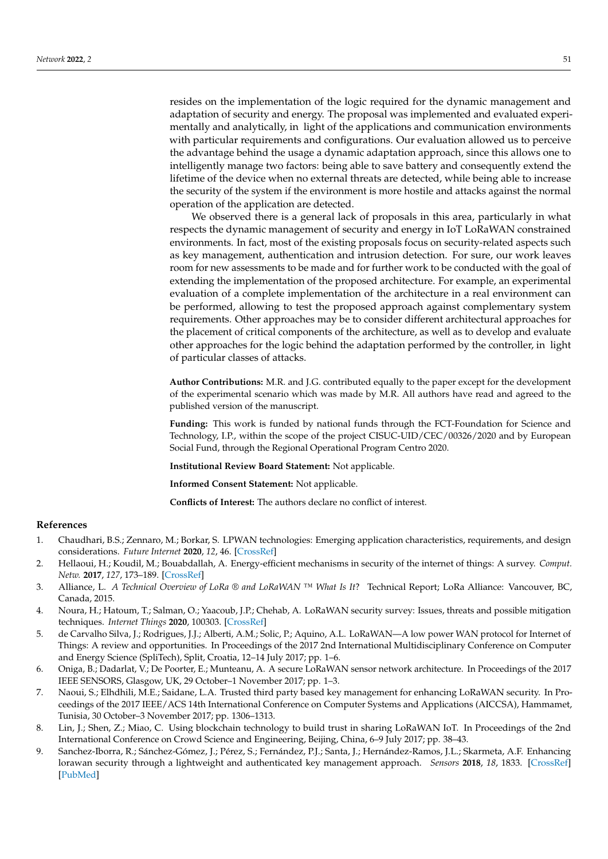resides on the implementation of the logic required for the dynamic management and adaptation of security and energy. The proposal was implemented and evaluated experimentally and analytically, in light of the applications and communication environments with particular requirements and configurations. Our evaluation allowed us to perceive the advantage behind the usage a dynamic adaptation approach, since this allows one to intelligently manage two factors: being able to save battery and consequently extend the lifetime of the device when no external threats are detected, while being able to increase the security of the system if the environment is more hostile and attacks against the normal operation of the application are detected.

We observed there is a general lack of proposals in this area, particularly in what respects the dynamic management of security and energy in IoT LoRaWAN constrained environments. In fact, most of the existing proposals focus on security-related aspects such as key management, authentication and intrusion detection. For sure, our work leaves room for new assessments to be made and for further work to be conducted with the goal of extending the implementation of the proposed architecture. For example, an experimental evaluation of a complete implementation of the architecture in a real environment can be performed, allowing to test the proposed approach against complementary system requirements. Other approaches may be to consider different architectural approaches for the placement of critical components of the architecture, as well as to develop and evaluate other approaches for the logic behind the adaptation performed by the controller, in light of particular classes of attacks.

**Author Contributions:** M.R. and J.G. contributed equally to the paper except for the development of the experimental scenario which was made by M.R. All authors have read and agreed to the published version of the manuscript.

**Funding:** This work is funded by national funds through the FCT-Foundation for Science and Technology, I.P., within the scope of the project CISUC-UID/CEC/00326/2020 and by European Social Fund, through the Regional Operational Program Centro 2020.

**Institutional Review Board Statement:** Not applicable.

**Informed Consent Statement:** Not applicable.

**Conflicts of Interest:** The authors declare no conflict of interest.

## **References**

- <span id="page-15-0"></span>1. Chaudhari, B.S.; Zennaro, M.; Borkar, S. LPWAN technologies: Emerging application characteristics, requirements, and design considerations. *Future Internet* **2020**, *12*, 46. [\[CrossRef\]](http://doi.org/10.3390/fi12030046)
- <span id="page-15-1"></span>2. Hellaoui, H.; Koudil, M.; Bouabdallah, A. Energy-efficient mechanisms in security of the internet of things: A survey. *Comput. Netw.* **2017**, *127*, 173–189. [\[CrossRef\]](http://dx.doi.org/10.1016/j.comnet.2017.08.006)
- <span id="page-15-2"></span>3. Alliance, L. *A Technical Overview of LoRa ® and LoRaWAN ™ What Is It*? Technical Report; LoRa Alliance: Vancouver, BC, Canada, 2015.
- <span id="page-15-3"></span>4. Noura, H.; Hatoum, T.; Salman, O.; Yaacoub, J.P.; Chehab, A. LoRaWAN security survey: Issues, threats and possible mitigation techniques. *Internet Things* **2020**, 100303. [\[CrossRef\]](http://dx.doi.org/10.1016/j.iot.2020.100303)
- <span id="page-15-4"></span>5. de Carvalho Silva, J.; Rodrigues, J.J.; Alberti, A.M.; Solic, P.; Aquino, A.L. LoRaWAN—A low power WAN protocol for Internet of Things: A review and opportunities. In Proceedings of the 2017 2nd International Multidisciplinary Conference on Computer and Energy Science (SpliTech), Split, Croatia, 12–14 July 2017; pp. 1–6.
- <span id="page-15-5"></span>6. Oniga, B.; Dadarlat, V.; De Poorter, E.; Munteanu, A. A secure LoRaWAN sensor network architecture. In Proceedings of the 2017 IEEE SENSORS, Glasgow, UK, 29 October–1 November 2017; pp. 1–3.
- <span id="page-15-6"></span>7. Naoui, S.; Elhdhili, M.E.; Saidane, L.A. Trusted third party based key management for enhancing LoRaWAN security. In Proceedings of the 2017 IEEE/ACS 14th International Conference on Computer Systems and Applications (AICCSA), Hammamet, Tunisia, 30 October–3 November 2017; pp. 1306–1313.
- <span id="page-15-7"></span>8. Lin, J.; Shen, Z.; Miao, C. Using blockchain technology to build trust in sharing LoRaWAN IoT. In Proceedings of the 2nd International Conference on Crowd Science and Engineering, Beijing, China, 6–9 July 2017; pp. 38–43.
- <span id="page-15-8"></span>9. Sanchez-Iborra, R.; Sánchez-Gómez, J.; Pérez, S.; Fernández, P.J.; Santa, J.; Hernández-Ramos, J.L.; Skarmeta, A.F. Enhancing lorawan security through a lightweight and authenticated key management approach. *Sensors* **2018**, *18*, 1833. [\[CrossRef\]](http://dx.doi.org/10.3390/s18061833) [\[PubMed\]](http://www.ncbi.nlm.nih.gov/pubmed/29874839)